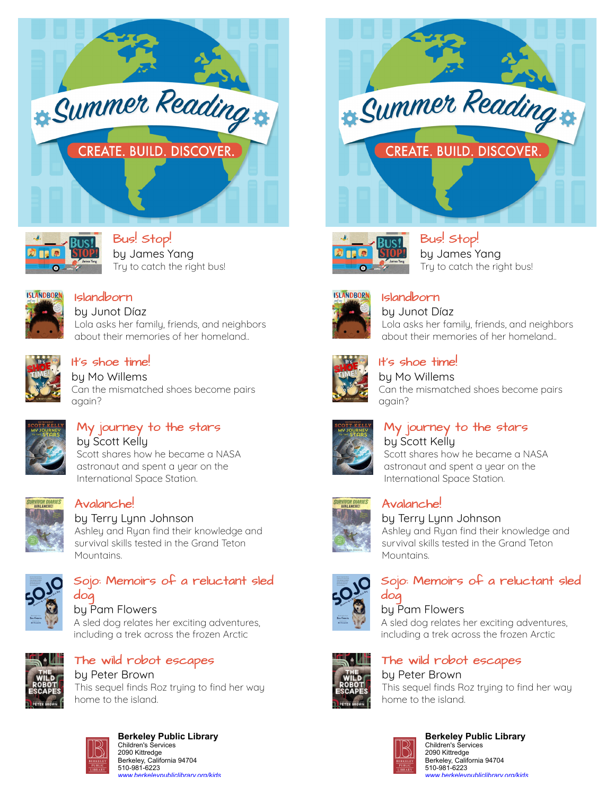



[Bus! Stop!](https://libraryaware.com/1YJ7M7) by James Yang Try to catch the right bus!



[Islandborn](https://libraryaware.com/1YJ7M8)

by Junot Díaz Lola asks her family, friends, and neighbors about their memories of her homeland..



# [It's shoe time!](https://libraryaware.com/1YJ7M9)

by Mo Willems Can the mismatched shoes become pairs again?



#### [My journey to the stars](https://libraryaware.com/1YJ7MA) by Scott Kelly Scott shares how he became a NASA astronaut and spent a year on the

International Space Station.

# [Avalanche!](https://libraryaware.com/1YJ7MB)

by Terry Lynn Johnson Ashley and Ryan find their knowledge and survival skills tested in the Grand Teton Mountains.



#### [Sojo: Memoirs of a reluctant sled](https://libraryaware.com/1YJ7MC) [dog](https://libraryaware.com/1YJ7MC)

by Pam Flowers A sled dog relates her exciting adventures, including a trek across the frozen Arctic



# [The wild robot escapes](https://libraryaware.com/1YJ7MD)

by Peter Brown This sequel finds Roz trying to find her way home to the island.



# **Berkeley Public Library** Children's Services

2090 Kittredge Berkeley, California 94704 510-981-6223 *[www.berkeleypubliclibrary.org/kids](https://libraryaware.com/1YJ7ME)*





[Bus! Stop!](https://libraryaware.com/1YJ7M7) by James Yang Try to catch the right bus!



[Islandborn](https://libraryaware.com/1YJ7M8) by Junot Díaz Lola asks her family, friends, and neighbors about their memories of her homeland..



### [It's shoe time!](https://libraryaware.com/1YJ7M9)

by Mo Willems Can the mismatched shoes become pairs again?



# [My journey to the stars](https://libraryaware.com/1YJ7MA)

by Scott Kelly Scott shares how he became a NASA astronaut and spent a year on the International Space Station.



# [Avalanche!](https://libraryaware.com/1YJ7MB)

by Terry Lynn Johnson Ashley and Ryan find their knowledge and survival skills tested in the Grand Teton Mountains.



#### [Sojo: Memoirs of a reluctant sled](https://libraryaware.com/1YJ7MC) [dog](https://libraryaware.com/1YJ7MC)

# by Pam Flowers

A sled dog relates her exciting adventures, including a trek across the frozen Arctic



## [The wild robot escapes](https://libraryaware.com/1YJ7MD)

#### by Peter Brown This sequel finds Roz trying to find her way home to the island.



#### **Berkeley Public Library** Children's Services 2090 Kittredge Berkeley, California 94704 510-981-6223 *[www.berkeleypubliclibrary.org/kids](https://libraryaware.com/1YJ7ME)*